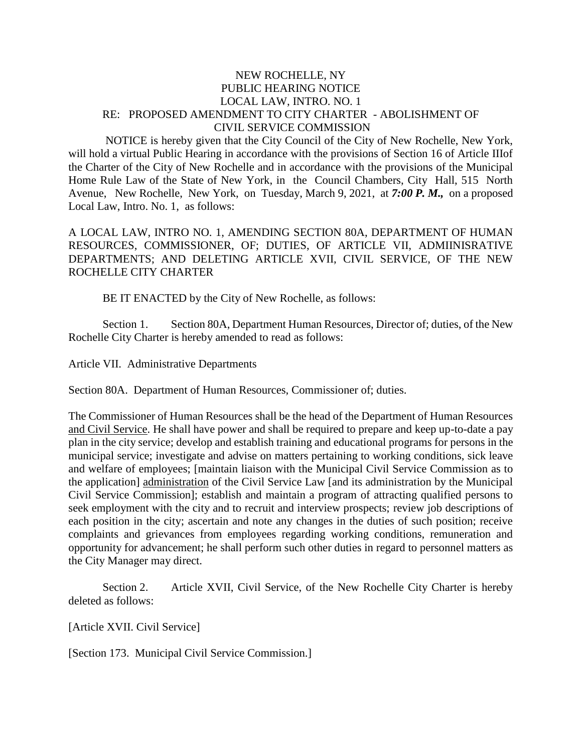## NEW ROCHELLE, NY PUBLIC HEARING NOTICE LOCAL LAW, INTRO. NO. 1 RE: PROPOSED AMENDMENT TO CITY CHARTER - ABOLISHMENT OF CIVIL SERVICE COMMISSION

NOTICE is hereby given that the City Council of the City of New Rochelle, New York, will hold a virtual Public Hearing in accordance with the provisions of Section 16 of Article IIIof the Charter of the City of New Rochelle and in accordance with the provisions of the Municipal Home Rule Law of the State of New York, in the Council Chambers, City Hall, 515 North Avenue, New Rochelle, New York, on Tuesday, March 9, 2021, at *7:00 P. M.,* on a proposed Local Law, Intro. No. 1, as follows:

A LOCAL LAW, INTRO NO. 1, AMENDING SECTION 80A, DEPARTMENT OF HUMAN RESOURCES, COMMISSIONER, OF; DUTIES, OF ARTICLE VII, ADMIINISRATIVE DEPARTMENTS; AND DELETING ARTICLE XVII, CIVIL SERVICE, OF THE NEW ROCHELLE CITY CHARTER

BE IT ENACTED by the City of New Rochelle, as follows:

Section 1. Section 80A, Department Human Resources, Director of; duties, of the New Rochelle City Charter is hereby amended to read as follows:

Article VII. Administrative Departments

Section 80A. Department of Human Resources, Commissioner of; duties.

The Commissioner of Human Resources shall be the head of the Department of Human Resources and Civil Service. He shall have power and shall be required to prepare and keep up-to-date a pay plan in the city service; develop and establish training and educational programs for persons in the municipal service; investigate and advise on matters pertaining to working conditions, sick leave and welfare of employees; [maintain liaison with the Municipal Civil Service Commission as to the application] administration of the Civil Service Law [and its administration by the Municipal Civil Service Commission]; establish and maintain a program of attracting qualified persons to seek employment with the city and to recruit and interview prospects; review job descriptions of each position in the city; ascertain and note any changes in the duties of such position; receive complaints and grievances from employees regarding working conditions, remuneration and opportunity for advancement; he shall perform such other duties in regard to personnel matters as the City Manager may direct.

Section 2. Article XVII, Civil Service, of the New Rochelle City Charter is hereby deleted as follows:

[Article XVII. Civil Service]

[Section 173. Municipal Civil Service Commission.]